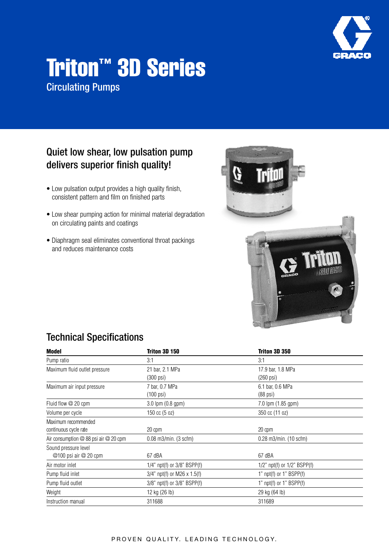

# Triton™ 3D Series Circulating Pumps

#### Quiet low shear, low pulsation pump delivers superior finish quality!

- Low pulsation output provides a high quality finish, consistent pattern and film on finished parts
- Low shear pumping action for minimal material degradation on circulating paints and coatings
- Diaphragm seal eliminates conventional throat packings and reduces maintenance costs



## Technical Specifications

| Model                                     | Triton 3D 150                    | Triton 3D 350                     |  |
|-------------------------------------------|----------------------------------|-----------------------------------|--|
| Pump ratio                                | 3:1                              | 3:1                               |  |
| Maximum fluid outlet pressure             | 21 bar, 2.1 MPa                  | 17.9 bar, 1.8 MPa                 |  |
|                                           | (300 psi)                        | (260 psi)                         |  |
| Maximum air input pressure                | 7 bar, 0.7 MPa                   | 6.1 bar, 0.6 MPa                  |  |
|                                           | (100 psi)                        | (88 psi)                          |  |
| Fluid flow $@20$ cpm                      | 3.0 lpm (0.8 gpm)                | 7.0 lpm (1.85 gpm)                |  |
| Volume per cycle                          | $150 \text{ cc } (5 \text{ oz})$ | 350 cc (11 oz)                    |  |
| Maximum recommended                       |                                  |                                   |  |
| continuous cycle rate                     | 20 cpm                           | 20 cpm                            |  |
| Air consumption $@$ 88 psi air $@$ 20 cpm | $0.08$ m $3$ /min. (3 scfm)      | $0.28$ m $3$ /min. (10 scfm)      |  |
| Sound pressure level                      |                                  |                                   |  |
| @100 psi air @ 20 cpm                     | 67 dBA                           | 67 dBA                            |  |
| Air motor inlet                           | 1/4" npt(f) or $3/8$ " BSPP(f)   | $1/2$ " npt(f) or $1/2$ " BSPP(f) |  |
| Pump fluid inlet                          | $3/4$ " npt(f) or M26 x 1.5(f)   | 1" $npt(f)$ or 1" $BSPP(f)$       |  |
| Pump fluid outlet                         | 3/8" npt(f) or 3/8" BSPP(f)      | 1" npt(f) or 1" BSPP(f)           |  |
| Weight                                    | 12 kg (26 lb)                    | 29 kg (64 lb)                     |  |
| Instruction manual<br>311688              |                                  | 311689                            |  |